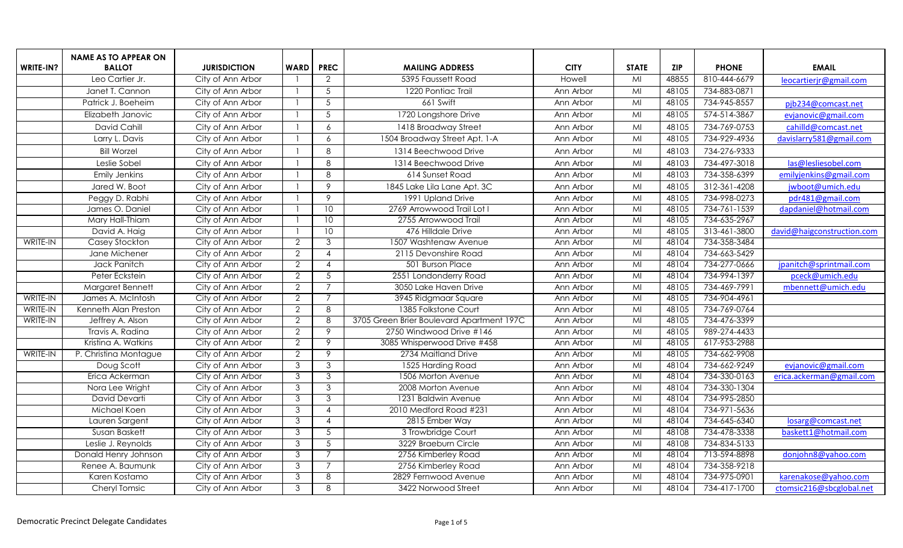|           | <b>NAME AS TO APPEAR ON</b> |                     |                     |                             |                                           |             |                         |            |              |                            |
|-----------|-----------------------------|---------------------|---------------------|-----------------------------|-------------------------------------------|-------------|-------------------------|------------|--------------|----------------------------|
| WRITE-IN? | <b>BALLOT</b>               | <b>JURISDICTION</b> | <b>WARD</b>         | <b>PREC</b>                 | <b>MAILING ADDRESS</b>                    | <b>CITY</b> | <b>STATE</b>            | <b>ZIP</b> | <b>PHONE</b> | <b>EMAIL</b>               |
|           | Leo Cartier Jr.             | City of Ann Arbor   |                     | 2                           | 5395 Faussett Road                        | Howell      | $\overline{\mathsf{M}}$ | 48855      | 810-444-6679 | leocartierjr@gmail.com     |
|           | Janet T. Cannon             | City of Ann Arbor   |                     | -5                          | 1220 Pontiac Trail                        | Ann Arbor   | $\overline{\mathsf{M}}$ | 48105      | 734-883-0871 |                            |
|           | Patrick J. Boeheim          | City of Ann Arbor   |                     | 5                           | 661 Swift                                 | Ann Arbor   | $\overline{\mathsf{M}}$ | 48105      | 734-945-8557 | pjb234@comcast.net         |
|           | Elizabeth Janovic           | City of Ann Arbor   |                     | $5\phantom{.0}$             | 1720 Longshore Drive                      | Ann Arbor   | M <sub>l</sub>          | 48105      | 574-514-3867 | evjanovic@gmail.com        |
|           | David Cahill                | City of Ann Arbor   | $\overline{1}$      | 6                           | 1418 Broadway Street                      | Ann Arbor   | MI                      | 48105      | 734-769-0753 | cahilld@comcast.net        |
|           | Larry L. Davis              | City of Ann Arbor   | $\overline{1}$      | 6                           | 1504 Broadway Street Apt. 1-A             | Ann Arbor   | MI                      | 48105      | 734-929-4936 | davislarry581@gmail.com    |
|           | <b>Bill Worzel</b>          | City of Ann Arbor   |                     | 8                           | 1314 Beechwood Drive                      | Ann Arbor   | MI                      | 48103      | 734-276-9333 |                            |
|           | Leslie Sobel                | City of Ann Arbor   |                     | 8                           | 1314 Beechwood Drive                      | Ann Arbor   | MI                      | 48103      | 734-497-3018 | las@lesliesobel.com        |
|           | <b>Emily Jenkins</b>        | City of Ann Arbor   |                     | 8                           | 614 Sunset Road                           | Ann Arbor   | M <sub>l</sub>          | 48103      | 734-358-6399 | emilyjenkins@gmail.com     |
|           | Jared W. Boot               | City of Ann Arbor   | $\mathbf{1}$        | 9                           | 1845 Lake Lila Lane Apt. 3C               | Ann Arbor   | MI                      | 48105      | 312-361-4208 | jwboot@umich.edu           |
|           | Peggy D. Rabhi              | City of Ann Arbor   |                     | 9                           | 1991 Upland Drive                         | Ann Arbor   | MI                      | 48105      | 734-998-0273 | pdr481@gmail.com           |
|           | James O. Daniel             | City of Ann Arbor   |                     | 10 <sup>°</sup>             | 2769 Arrowwood Trail Lot I                | Ann Arbor   | MI                      | 48105      | 734-761-1539 | dapdaniel@hotmail.com      |
|           | Mary Hall-Thiam             | City of Ann Arbor   |                     | 10                          | 2755 Arrowwood Trail                      | Ann Arbor   | MI                      | 48105      | 734-635-2967 |                            |
|           | David A. Haig               | City of Ann Arbor   |                     | 10                          | 476 Hilldale Drive                        | Ann Arbor   | $\overline{\mathsf{M}}$ | 48105      | 313-461-3800 | david@haigconstruction.com |
| WRITE-IN  | Casey Stockton              | City of Ann Arbor   | $\overline{2}$      | 3                           | 1507 Washtenaw Avenue                     | Ann Arbor   | MI                      | 48104      | 734-358-3484 |                            |
|           | Jane Michener               | City of Ann Arbor   | $\overline{2}$      | $\boldsymbol{\Lambda}$      | 2115 Devonshire Road                      | Ann Arbor   | $\overline{\mathsf{M}}$ | 48104      | 734-663-5429 |                            |
|           | Jack Panitch                | City of Ann Arbor   | $\overline{2}$      | $\boldsymbol{\Lambda}$      | 501 Burson Place                          | Ann Arbor   | MI                      | 48104      | 734-277-0666 | jpanitch@sprintmail.com    |
|           | Peter Eckstein              | City of Ann Arbor   | $\overline{2}$      | $\overline{5}$              | 2551 Londonderry Road                     | Ann Arbor   | $\overline{M}$          | 48104      | 734-994-1397 | pceck@umich.edu            |
|           | Margaret Bennett            | City of Ann Arbor   | $\overline{2}$      | $\overline{7}$              | 3050 Lake Haven Drive                     | Ann Arbor   | $\overline{\mathsf{M}}$ | 48105      | 734-469-7991 | mbennett@umich.edu         |
| WRITE-IN  | James A. McIntosh           | City of Ann Arbor   | $\overline{2}$      | $\overline{7}$              | 3945 Ridgmaar Square                      | Ann Arbor   | M <sub>l</sub>          | 48105      | 734-904-4961 |                            |
| WRITE-IN  | Kenneth Alan Preston        | City of Ann Arbor   | $\overline{2}$      | 8                           | 1385 Folkstone Court                      | Ann Arbor   | MI                      | 48105      | 734-769-0764 |                            |
| WRITE-IN  | Jeffrey A. Alson            | City of Ann Arbor   | $\overline{2}$      | 8                           | 3705 Green Brier Boulevard Apartment 197C | Ann Arbor   | $\overline{\mathsf{M}}$ | 48105      | 734-476-3399 |                            |
|           | Travis A. Radina            | City of Ann Arbor   | $\overline{2}$      | 9                           | 2750 Windwood Drive #146                  | Ann Arbor   | MI                      | 48105      | 989-274-4433 |                            |
|           | Kristina A. Watkins         | City of Ann Arbor   | $\overline{2}$      | 9                           | 3085 Whisperwood Drive #458               | Ann Arbor   | MI                      | 48105      | 617-953-2988 |                            |
| WRITE-IN  | P. Christina Montague       | City of Ann Arbor   | $\overline{2}$      | 9                           | 2734 Maitland Drive                       | Ann Arbor   | M <sub>l</sub>          | 48105      | 734-662-9908 |                            |
|           | Doug Scott                  | City of Ann Arbor   | دی                  | 3                           | 1525 Harding Road                         | Ann Arbor   | MI                      | 48104      | 734-662-9249 | evjanovic@gmail.com        |
|           | Erica Ackerman              | City of Ann Arbor   | $\overline{3}$      | $\overline{3}$              | 1506 Morton Avenue                        | Ann Arbor   | MI                      | 48104      | 734-330-0163 | erica.ackerman@gmail.com   |
|           | Nora Lee Wright             | City of Ann Arbor   | 3                   | 3                           | 2008 Morton Avenue                        | Ann Arbor   | MI                      | 48104      | 734-330-1304 |                            |
|           | David Devarti               | City of Ann Arbor   | $\overline{3}$      | $\overline{3}$              | 1231 Baldwin Avenue                       | Ann Arbor   | $\overline{\mathsf{M}}$ | 48104      | 734-995-2850 |                            |
|           | Michael Koen                | City of Ann Arbor   | دی                  | $\boldsymbol{\Lambda}$      | 2010 Medford Road #231                    | Ann Arbor   | $\overline{\mathsf{M}}$ | 48104      | 734-971-5636 |                            |
|           | Lauren Sargent              | City of Ann Arbor   | $\overline{3}$      | $\boldsymbol{\vartriangle}$ | 2815 Ember Way                            | Ann Arbor   | MI                      | 48104      | 734-645-6340 | losarg@comcast.net         |
|           | Susan Baskett               | City of Ann Arbor   | $\overline{\omega}$ | 5                           | 3 Trowbridge Court                        | Ann Arbor   | $\overline{\mathsf{M}}$ | 48108      | 734-478-3338 | baskett1@hotmail.com       |
|           | Leslie J. Reynolds          | City of Ann Arbor   | نى                  | $\overline{5}$              | 3229 Braeburn Circle                      | Ann Arbor   | MI                      | 48108      | 734-834-5133 |                            |
|           | Donald Henry Johnson        | City of Ann Arbor   | دی                  | 7                           | 2756 Kimberley Road                       | Ann Arbor   | MI                      | 48104      | 713-594-8898 | donjohn8@yahoo.com         |
|           | Renee A. Baumunk            | City of Ann Arbor   | $\overline{3}$      | $\overline{7}$              | 2756 Kimberley Road                       | Ann Arbor   | MI                      | 48104      | 734-358-9218 |                            |
|           | Karen Kostamo               | City of Ann Arbor   | نى                  | 8                           | 2829 Fernwood Avenue                      | Ann Arbor   | $\overline{\mathsf{M}}$ | 48104      | 734-975-0901 | karenakose@yahoo.com       |
|           | Cheryl Tomsic               | City of Ann Arbor   | 3                   | 8                           | 3422 Norwood Street                       | Ann Arbor   | $\overline{\mathsf{M}}$ | 48104      | 734-417-1700 | ctomsic216@sbcglobal.net   |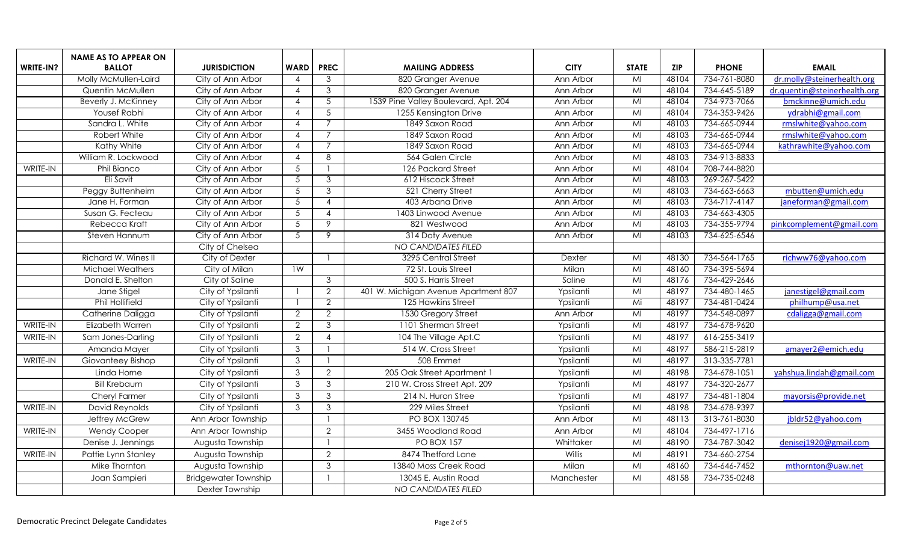|           | <b>NAME AS TO APPEAR ON</b> |                             |                 |                           |                                      |             |                         |            |              |                              |
|-----------|-----------------------------|-----------------------------|-----------------|---------------------------|--------------------------------------|-------------|-------------------------|------------|--------------|------------------------------|
| WRITE-IN? | <b>BALLOT</b>               | <b>JURISDICTION</b>         | <b>WARD</b>     | <b>PREC</b>               | <b>MAILING ADDRESS</b>               | <b>CITY</b> | <b>STATE</b>            | <b>ZIP</b> | <b>PHONE</b> | <b>EMAIL</b>                 |
|           | Molly McMullen-Laird        | City of Ann Arbor           | $\overline{A}$  | 3                         | 820 Granger Avenue                   | Ann Arbor   | MI                      | 48104      | 734-761-8080 | dr.molly@steinerhealth.org   |
|           | Quentin McMullen            | City of Ann Arbor           | $\overline{4}$  | 3                         | 820 Granger Avenue                   | Ann Arbor   | MI                      | 48104      | 734-645-5189 | dr.quentin@steinerhealth.org |
|           | Beverly J. McKinney         | City of Ann Arbor           | $\overline{4}$  | $5\phantom{.0}$           | 1539 Pine Valley Boulevard, Apt. 204 | Ann Arbor   | M <sub>l</sub>          | 48104      | 734-973-7066 | bmckinne@umich.edu           |
|           | <b>Yousef Rabhi</b>         | City of Ann Arbor           | $\overline{4}$  | $5\overline{5}$           | 1255 Kensington Drive                | Ann Arbor   | MI                      | 48104      | 734-353-9426 | ydrabhi@gmail.com            |
|           | Sandra L. White             | City of Ann Arbor           | $\overline{4}$  | $\overline{7}$            | 1849 Saxon Road                      | Ann Arbor   | $\overline{\mathsf{M}}$ | 48103      | 734-665-0944 | rmslwhite@yahoo.com          |
|           | Robert White                | City of Ann Arbor           | $\overline{4}$  | 7                         | 1849 Saxon Road                      | Ann Arbor   | MI                      | 48103      | 734-665-0944 | rmslwhite@yahoo.com          |
|           | Kathy White                 | City of Ann Arbor           | $\overline{4}$  |                           | 1849 Saxon Road                      | Ann Arbor   | MI                      | 48103      | 734-665-0944 | kathrawhite@yahoo.com        |
|           | William R. Lockwood         | City of Ann Arbor           | $\overline{4}$  | 8                         | 564 Galen Circle                     | Ann Arbor   | MI                      | 48103      | 734-913-8833 |                              |
| WRITE-IN  | <b>Phil Bianco</b>          | City of Ann Arbor           | 5               |                           | 126 Packard Street                   | Ann Arbor   | MI                      | 48104      | 708-744-8820 |                              |
|           | Eli Savit                   | City of Ann Arbor           | $\overline{5}$  | $\overline{3}$            | 612 Hiscock Street                   | Ann Arbor   | $\overline{\mathsf{M}}$ | 48103      | 269-267-5422 |                              |
|           | Peggy Buttenheim            | City of Ann Arbor           | $5\phantom{.0}$ | 3                         | 521 Cherry Street                    | Ann Arbor   | MI                      | 48103      | 734-663-6663 | mbutten@umich.edu            |
|           | Jane H. Forman              | City of Ann Arbor           | $5\phantom{.0}$ | $\boldsymbol{\Lambda}$    | 403 Arbana Drive                     | Ann Arbor   | MI                      | 48103      | 734-717-4147 | janeforman@gmail.com         |
|           | Susan G. Fecteau            | City of Ann Arbor           | 5               | $\boldsymbol{\varLambda}$ | 1403 Linwood Avenue                  | Ann Arbor   | M <sub>l</sub>          | 48103      | 734-663-4305 |                              |
|           | Rebecca Kraft               | City of Ann Arbor           | 5               | 9                         | 821 Westwood                         | Ann Arbor   | MI                      | 48103      | 734-355-9794 | pinkcomplement@gmail.com     |
|           | Steven Hannum               | City of Ann Arbor           | $\overline{5}$  | 9                         | 314 Doty Avenue                      | Ann Arbor   | $\overline{\mathsf{M}}$ | 48103      | 734-625-6546 |                              |
|           |                             | City of Chelsea             |                 |                           | <b>NO CANDIDATES FILED</b>           |             |                         |            |              |                              |
|           | Richard W. Wines II         | City of Dexter              |                 |                           | 3295 Central Street                  | Dexter      | MI                      | 48130      | 734-564-1765 | richww76@yahoo.com           |
|           | Michael Weathers            | City of Milan               | 1W              |                           | 72 St. Louis Street                  | Milan       | MI                      | 48160      | 734-395-5694 |                              |
|           | Donald E. Shelton           | City of Saline              |                 | 3                         | 500 S. Harris Street                 | Saline      | MI                      | 48176      | 734-429-2646 |                              |
|           | Jane Stigel                 | City of Ypsilanti           |                 | $\mathcal{P}$             | 401 W. Michigan Avenue Apartment 807 | Ypsilanti   | $M_{\odot}$             | 48197      | 734-480-1465 | janestigel@gmail.com         |
|           | <b>Phil Hollifield</b>      | City of Ypsilanti           |                 | $\overline{2}$            | 125 Hawkins Street                   | Ypsilanti   | Mi                      | 48197      | 734-481-0424 | philhump@usa.net             |
|           | Catherine Daligga           | City of Ypsilanti           | $\overline{2}$  | $\overline{2}$            | 1530 Gregory Street                  | Ann Arbor   | MI                      | 48197      | 734-548-0897 | cdaligga@gmail.com           |
| WRITE-IN  | Elizabeth Warren            | City of Ypsilanti           | $\overline{2}$  | $\overline{3}$            | 1101 Sherman Street                  | Ypsilanti   | MI                      | 48197      | 734-678-9620 |                              |
| WRITE-IN  | Sam Jones-Darling           | City of Ypsilanti           | $\overline{2}$  | $\Delta$                  | 104 The Village Apt.C                | Ypsilanti   | MI                      | 48197      | 616-255-3419 |                              |
|           | Amanda Mayer                | City of Ypsilanti           | $\mathbf{3}$    |                           | 514 W. Cross Street                  | Ypsilanti   | MI                      | 48197      | 586-215-2819 | amayer2@emich.edu            |
| WRITE-IN  | Giovanteey Bishop           | City of Ypsilanti           | 3               |                           | 508 Emmet                            | Ypsilanti   | MI                      | 48197      | 313-335-7781 |                              |
|           | Linda Horne                 | City of Ypsilanti           | 3               | $\overline{2}$            | 205 Oak Street Apartment 1           | Ypsilanti   | MI                      | 48198      | 734-678-1051 | yahshua.lindah@gmail.com     |
|           | <b>Bill Krebaum</b>         | City of Ypsilanti           | $\mathfrak{Z}$  | $\mathfrak{Z}$            | 210 W. Cross Street Apt. 209         | Ypsilanti   | M <sub>l</sub>          | 48197      | 734-320-2677 |                              |
|           | Cheryl Farmer               | City of Ypsilanti           | $\mathbf{3}$    | 3                         | 214 N. Huron Stree                   | Ypsilanti   | MI                      | 48197      | 734-481-1804 | mayorsis@provide.net         |
| WRITE-IN  | David Reynolds              | City of Ypsilanti           | $\mathbf{3}$    | $\mathcal{S}$             | 229 Miles Street                     | Ypsilanti   | MI                      | 48198      | 734-678-9397 |                              |
|           | Jeffrey McGrew              | Ann Arbor Township          |                 |                           | PO BOX 130745                        | Ann Arbor   | MI                      | 48113      | 313-761-8030 | jbldr52@yahoo.com            |
| WRITE-IN  | <b>Wendy Cooper</b>         | Ann Arbor Township          |                 | $\overline{2}$            | 3455 Woodland Road                   | Ann Arbor   | MI                      | 48104      | 734-497-1716 |                              |
|           | Denise J. Jennings          | Augusta Township            |                 |                           | <b>PO BOX 157</b>                    | Whittaker   | MI                      | 48190      | 734-787-3042 | denisej1920@gmail.com        |
| WRITE-IN  | Pattie Lynn Stanley         | Augusta Township            |                 | $\overline{2}$            | 8474 Thetford Lane                   | Willis      | MI                      | 48191      | 734-660-2754 |                              |
|           | Mike Thornton               | Augusta Township            |                 | $\mathbf{3}$              | 13840 Moss Creek Road                | Milan       | MI                      | 48160      | 734-646-7452 | mthornton@uaw.net            |
|           | Joan Sampieri               | <b>Bridgewater Township</b> |                 |                           | 13045 E. Austin Road                 | Manchester  | MI                      | 48158      | 734-735-0248 |                              |
|           |                             | Dexter Township             |                 |                           | <b>NO CANDIDATES FILED</b>           |             |                         |            |              |                              |
|           |                             |                             |                 |                           |                                      |             |                         |            |              |                              |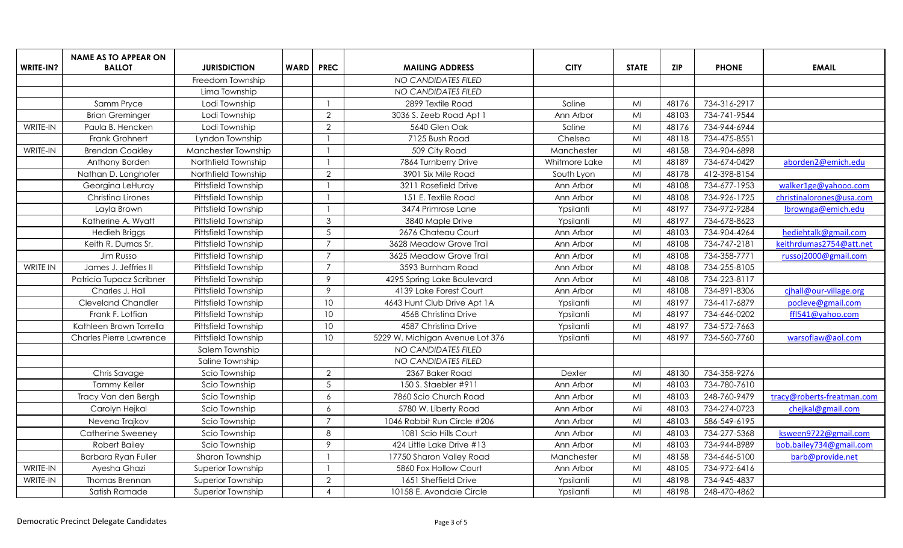|           | <b>NAME AS TO APPEAR ON</b> |                     |             |                 |                                 |               |              |            |              |                            |
|-----------|-----------------------------|---------------------|-------------|-----------------|---------------------------------|---------------|--------------|------------|--------------|----------------------------|
| WRITE-IN? | <b>BALLOT</b>               | <b>JURISDICTION</b> | <b>WARD</b> | <b>PREC</b>     | <b>MAILING ADDRESS</b>          | <b>CITY</b>   | <b>STATE</b> | <b>ZIP</b> | <b>PHONE</b> | <b>EMAIL</b>               |
|           |                             | Freedom Township    |             |                 | <b>NO CANDIDATES FILED</b>      |               |              |            |              |                            |
|           |                             | Lima Township       |             |                 | NO CANDIDATES FILED             |               |              |            |              |                            |
|           | Samm Pryce                  | Lodi Township       |             |                 | 2899 Textile Road               | Saline        | MI           | 48176      | 734-316-2917 |                            |
|           | <b>Brian Greminger</b>      | Lodi Township       |             | $\overline{2}$  | 3036 S. Zeeb Road Apt 1         | Ann Arbor     | MI           | 48103      | 734-741-9544 |                            |
| WRITE-IN  | Paula B. Hencken            | Lodi Township       |             | $\overline{2}$  | 5640 Glen Oak                   | Saline        | MI           | 48176      | 734-944-6944 |                            |
|           | Frank Grohnert              | Lyndon Township     |             |                 | 7125 Bush Road                  | Chelsea       | MI           | 48118      | 734-475-8551 |                            |
| WRITE-IN  | <b>Brendan Coakley</b>      | Manchester Township |             |                 | 509 City Road                   | Manchester    | MI           | 48158      | 734-904-6898 |                            |
|           | Anthony Borden              | Northfield Township |             |                 | 7864 Turnberry Drive            | Whitmore Lake | MI           | 48189      | 734-674-0429 | aborden2@emich.edu         |
|           | Nathan D. Longhofer         | Northfield Township |             | $\overline{2}$  | 3901 Six Mile Road              | South Lyon    | MI           | 48178      | 412-398-8154 |                            |
|           | Georgina LeHuray            | Pittsfield Township |             |                 | 3211 Rosefield Drive            | Ann Arbor     | MI           | 48108      | 734-677-1953 | walker1ge@yahooo.com       |
|           | Christina Lirones           | Pittsfield Township |             |                 | 151 E. Textile Road             | Ann Arbor     | MI           | 48108      | 734-926-1725 | christinalorones@usa.com   |
|           | Layla Brown                 | Pittsfield Township |             |                 | 3474 Primrose Lane              | Ypsilanti     | MI           | 48197      | 734-972-9284 | lbrownga@emich.edu         |
|           | Katherine A. Wyatt          | Pittsfield Township |             | $\mathfrak{Z}$  | 3840 Maple Drive                | Ypsilanti     | MI           | 48197      | 734-678-8623 |                            |
|           | <b>Hedieh Briggs</b>        | Pittsfield Township |             | 5               | 2676 Chateau Court              | Ann Arbor     | MI           | 48103      | 734-904-4264 | hediehtalk@gmail.com       |
|           | Keith R. Dumas Sr.          | Pittsfield Township |             | $\overline{7}$  | 3628 Meadow Grove Trail         | Ann Arbor     | MI           | 48108      | 734-747-2181 | keithrdumas2754@att.net    |
|           | Jim Russo                   | Pittsfield Township |             | $\overline{7}$  | 3625 Meadow Grove Trail         | Ann Arbor     | MI           | 48108      | 734-358-7771 | russoj2000@gmail.com       |
| WRITE IN  | James J. Jeffries II        | Pittsfield Township |             | $\overline{7}$  | 3593 Burnham Road               | Ann Arbor     | MI           | 48108      | 734-255-8105 |                            |
|           | Patricia Tupacz Scribner    | Pittsfield Township |             | 9               | 4295 Spring Lake Boulevard      | Ann Arbor     | MI           | 48108      | 734-223-8117 |                            |
|           | Charles J. Hall             | Pittsfield Township |             | 9               | 4139 Lake Forest Court          | Ann Arbor     | MI           | 48108      | 734-891-8306 | cihall@our-village.org     |
|           | <b>Cleveland Chandler</b>   | Pittsfield Township |             | 10              | 4643 Hunt Club Drive Apt 1A     | Ypsilanti     | MI           | 48197      | 734-417-6879 | pocleve@gmail.com          |
|           | Frank F. Lotfian            | Pittsfield Township |             | 10              | 4568 Christina Drive            | Ypsilanti     | MI           | 48197      | 734-646-0202 | ffl541@yahoo.com           |
|           | Kathleen Brown Torrella     | Pittsfield Township |             | 10              | 4587 Christina Drive            | Ypsilanti     | MI           | 48197      | 734-572-7663 |                            |
|           | Charles Pierre Lawrence     | Pittsfield Township |             | 10 <sup>°</sup> | 5229 W. Michigan Avenue Lot 376 | Ypsilanti     | MI           | 48197      | 734-560-7760 | warsoflaw@aol.com          |
|           |                             | Salem Township      |             |                 | NO CANDIDATES FILED             |               |              |            |              |                            |
|           |                             | Saline Township     |             |                 | <b>NO CANDIDATES FILED</b>      |               |              |            |              |                            |
|           | Chris Savage                | Scio Township       |             | $\overline{2}$  | 2367 Baker Road                 | Dexter        | MI           | 48130      | 734-358-9276 |                            |
|           | <b>Tammy Keller</b>         | Scio Township       |             | $5\phantom{.0}$ | 150 S. Staebler #911            | Ann Arbor     | MI           | 48103      | 734-780-7610 |                            |
|           | Tracy Van den Bergh         | Scio Township       |             | 6               | 7860 Scio Church Road           | Ann Arbor     | MI           | 48103      | 248-760-9479 | tracy@roberts-freatman.com |
|           | Carolyn Hejkal              | Scio Township       |             | 6               | 5780 W. Liberty Road            | Ann Arbor     | Mi           | 48103      | 734-274-0723 | chejkal@gmail.com          |
|           | Nevena Trajkov              | Scio Township       |             | $\overline{7}$  | 1046 Rabbit Run Circle #206     | Ann Arbor     | MI           | 48103      | 586-549-6195 |                            |
|           | Catherine Sweeney           | Scio Township       |             | 8               | 1081 Scio Hills Court           | Ann Arbor     | MI           | 48103      | 734-277-5368 | ksween9722@gmail.com       |
|           | <b>Robert Bailey</b>        | Scio Township       |             | 9               | 424 Little Lake Drive #13       | Ann Arbor     | MI           | 48103      | 734-944-8989 | bob.bailey734@gmail.com    |
|           | <b>Barbara Ryan Fuller</b>  | Sharon Township     |             |                 | 17750 Sharon Valley Road        | Manchester    | MI           | 48158      | 734-646-5100 | barb@provide.net           |
| WRITE-IN  | Ayesha Ghazi                | Superior Township   |             |                 | 5860 Fox Hollow Court           | Ann Arbor     | MI           | 48105      | 734-972-6416 |                            |
| WRITE-IN  | Thomas Brennan              | Superior Township   |             | $\overline{2}$  | 1651 Sheffield Drive            | Ypsilanti     | MI           | 48198      | 734-945-4837 |                            |
|           | Satish Ramade               | Superior Township   |             | $\overline{4}$  | 10158 E. Avondale Circle        | Ypsilanti     | MI           | 48198      | 248-470-4862 |                            |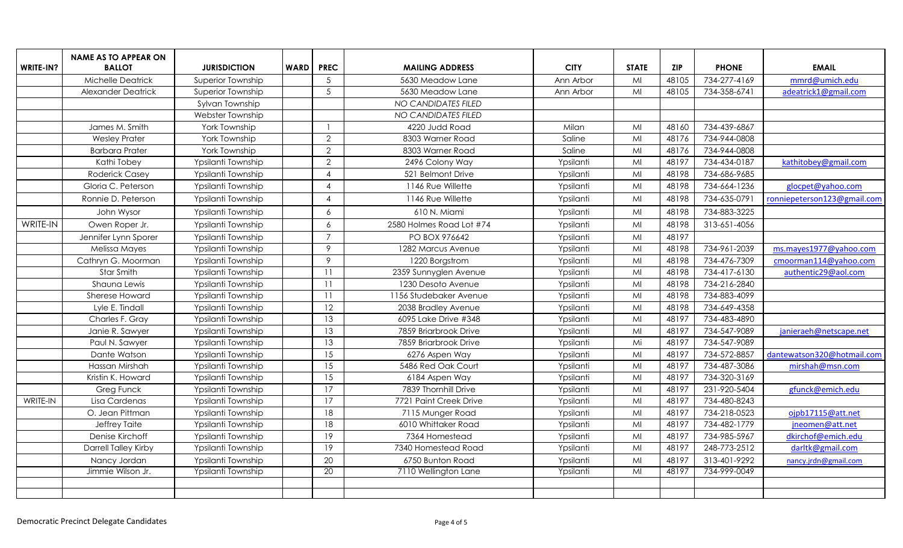|           | <b>NAME AS TO APPEAR ON</b> |                     |             |                        |                          |             |              |            |              |                             |
|-----------|-----------------------------|---------------------|-------------|------------------------|--------------------------|-------------|--------------|------------|--------------|-----------------------------|
| WRITE-IN? | <b>BALLOT</b>               | <b>JURISDICTION</b> | <b>WARD</b> | <b>PREC</b>            | <b>MAILING ADDRESS</b>   | <b>CITY</b> | <b>STATE</b> | <b>ZIP</b> | <b>PHONE</b> | <b>EMAIL</b>                |
|           | Michelle Deatrick           | Superior Township   |             | $5\phantom{.0}$        | 5630 Meadow Lane         | Ann Arbor   | MI           | 48105      | 734-277-4169 | mmrd@umich.edu              |
|           | Alexander Deatrick          | Superior Township   |             | $5\phantom{.0}$        | 5630 Meadow Lane         | Ann Arbor   | MI           | 48105      | 734-358-6741 | adeatrick1@gmail.com        |
|           |                             | Sylvan Township     |             |                        | NO CANDIDATES FILED      |             |              |            |              |                             |
|           |                             | Webster Township    |             |                        | NO CANDIDATES FILED      |             |              |            |              |                             |
|           | James M. Smith              | York Township       |             |                        | 4220 Judd Road           | Milan       | MI           | 48160      | 734-439-6867 |                             |
|           | <b>Wesley Prater</b>        | York Township       |             | $\overline{2}$         | 8303 Warner Road         | Saline      | MI           | 48176      | 734-944-0808 |                             |
|           | <b>Barbara Prater</b>       | York Township       |             | $\overline{2}$         | 8303 Warner Road         | Saline      | MI           | 48176      | 734-944-0808 |                             |
|           | Kathi Tobey                 | Ypsilanti Township  |             | $\overline{2}$         | 2496 Colony Way          | Ypsilanti   | MI           | 48197      | 734-434-0187 | kathitobey@gmail.com        |
|           | <b>Roderick Casey</b>       | Ypsilanti Township  |             | $\boldsymbol{\Lambda}$ | 521 Belmont Drive        | Ypsilanti   | MI           | 48198      | 734-686-9685 |                             |
|           | Gloria C. Peterson          | Ypsilanti Township  |             | $\boldsymbol{\Lambda}$ | 1146 Rue Willette        | Ypsilanti   | MI           | 48198      | 734-664-1236 | glocpet@yahoo.com           |
|           | Ronnie D. Peterson          | Ypsilanti Township  |             | $\overline{4}$         | 1146 Rue Willette        | Ypsilanti   | MI           | 48198      | 734-635-0791 | ronniepeterson123@gmail.com |
|           | John Wysor                  | Ypsilanti Township  |             | 6                      | 610 N. Miami             | Ypsilanti   | MI           | 48198      | 734-883-3225 |                             |
| WRITE-IN  | Owen Roper Jr.              | Ypsilanti Township  |             | 6                      | 2580 Holmes Road Lot #74 | Ypsilanti   | MI           | 48198      | 313-651-4056 |                             |
|           | Jennifer Lynn Sporer        | Ypsilanti Township  |             | $\overline{7}$         | PO BOX 976642            | Ypsilanti   | MI           | 48197      |              |                             |
|           | Melissa Mayes               | Ypsilanti Township  |             | 9                      | 1282 Marcus Avenue       | Ypsilanti   | MI           | 48198      | 734-961-2039 | ms.mayes1977@yahoo.com      |
|           | Cathryn G. Moorman          | Ypsilanti Township  |             | 9                      | 1220 Borgstrom           | Ypsilanti   | MI           | 48198      | 734-476-7309 | cmoorman114@yahoo.com       |
|           | Star Smith                  | Ypsilanti Township  |             | 11                     | 2359 Sunnyglen Avenue    | Ypsilanti   | MI           | 48198      | 734-417-6130 | authentic29@aol.com         |
|           | Shauna Lewis                | Ypsilanti Township  |             | 11                     | 1230 Desoto Avenue       | Ypsilanti   | MI           | 48198      | 734-216-2840 |                             |
|           | Sherese Howard              | Ypsilanti Township  |             | 11                     | 1156 Studebaker Avenue   | Ypsilanti   | MI           | 48198      | 734-883-4099 |                             |
|           | Lyle E. Tindall             | Ypsilanti Township  |             | $\overline{12}$        | 2038 Bradley Avenue      | Ypsilanti   | MI           | 48198      | 734-649-4358 |                             |
|           | Charles F. Gray             | Ypsilanti Township  |             | 13                     | 6095 Lake Drive #348     | Ypsilanti   | MI           | 48197      | 734-483-4890 |                             |
|           | Janie R. Sawyer             | Ypsilanti Township  |             | 13                     | 7859 Briarbrook Drive    | Ypsilanti   | MI           | 48197      | 734-547-9089 | janieraeh@netscape.net      |
|           | Paul N. Sawyer              | Ypsilanti Township  |             | 13                     | 7859 Briarbrook Drive    | Ypsilanti   | Mi           | 48197      | 734-547-9089 |                             |
|           | Dante Watson                | Ypsilanti Township  |             | 15                     | 6276 Aspen Way           | Ypsilanti   | MI           | 48197      | 734-572-8857 | dantewatson320@hotmail.com  |
|           | Hassan Mirshah              | Ypsilanti Township  |             | 15                     | 5486 Red Oak Court       | Ypsilanti   | MI           | 48197      | 734-487-3086 | mirshah@msn.com             |
|           | Kristin K. Howard           | Ypsilanti Township  |             | 15                     | 6184 Aspen Way           | Ypsilanti   | MI           | 48197      | 734-320-3169 |                             |
|           | Greg Funck                  | Ypsilanti Township  |             | 17                     | 7839 Thornhill Drive     | Ypsilanti   | MI           | 48197      | 231-920-5404 | gfunck@emich.edu            |
| WRITE-IN  | Lisa Cardenas               | Ypsilanti Township  |             | 17                     | 7721 Paint Creek Drive   | Ypsilanti   | MI           | 48197      | 734-480-8243 |                             |
|           | O. Jean Pittman             | Ypsilanti Township  |             | 18                     | 7115 Munger Road         | Ypsilanti   | MI           | 48197      | 734-218-0523 | ojpb17115@att.net           |
|           | Jeffrey Taite               | Ypsilanti Township  |             | 18                     | 6010 Whittaker Road      | Ypsilanti   | MI           | 48197      | 734-482-1779 | jneomen@att.net             |
|           | Denise Kirchoff             | Ypsilanti Township  |             | 19                     | 7364 Homestead           | Ypsilanti   | MI           | 48197      | 734-985-5967 | dkirchof@emich.edu          |
|           | Darrell Talley Kirby        | Ypsilanti Township  |             | 19                     | 7340 Homestead Road      | Ypsilanti   | MI           | 48197      | 248-773-2512 | darltk@gmail.com            |
|           | Nancy Jordan                | Ypsilanti Township  |             | 20                     | 6750 Bunton Road         | Ypsilanti   | MI           | 48197      | 313-401-9292 | nancy.jrdn@gmail.com        |
|           | Jimmie Wilson Jr.           | Ypsilanti Township  |             | $\overline{20}$        | 7110 Wellington Lane     | Ypsilanti   | MI           | 48197      | 734-999-0049 |                             |
|           |                             |                     |             |                        |                          |             |              |            |              |                             |
|           |                             |                     |             |                        |                          |             |              |            |              |                             |